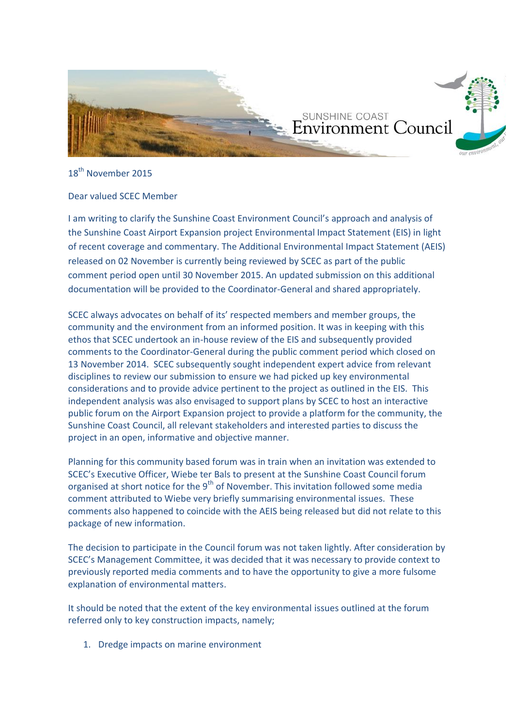

18<sup>th</sup> November 2015

# Dear valued SCEC Member

I am writing to clarify the Sunshine Coast Environment Council's approach and analysis of the Sunshine Coast Airport Expansion project Environmental Impact Statement (EIS) in light of recent coverage and commentary. The Additional Environmental Impact Statement (AEIS) released on 02 November is currently being reviewed by SCEC as part of the public comment period open until 30 November 2015. An updated submission on this additional documentation will be provided to the Coordinator-General and shared appropriately.

SCEC always advocates on behalf of its' respected members and member groups, the community and the environment from an informed position. It was in keeping with this ethos that SCEC undertook an in-house review of the EIS and subsequently provided comments to the Coordinator-General during the public comment period which closed on 13 November 2014. SCEC subsequently sought independent expert advice from relevant disciplines to review our submission to ensure we had picked up key environmental considerations and to provide advice pertinent to the project as outlined in the EIS. This independent analysis was also envisaged to support plans by SCEC to host an interactive public forum on the Airport Expansion project to provide a platform for the community, the Sunshine Coast Council, all relevant stakeholders and interested parties to discuss the project in an open, informative and objective manner.

Planning for this community based forum was in train when an invitation was extended to SCEC's Executive Officer, Wiebe ter Bals to present at the Sunshine Coast Council forum organised at short notice for the  $9<sup>th</sup>$  of November. This invitation followed some media comment attributed to Wiebe very briefly summarising environmental issues. These comments also happened to coincide with the AEIS being released but did not relate to this package of new information.

The decision to participate in the Council forum was not taken lightly. After consideration by SCEC's Management Committee, it was decided that it was necessary to provide context to previously reported media comments and to have the opportunity to give a more fulsome explanation of environmental matters.

It should be noted that the extent of the key environmental issues outlined at the forum referred only to key construction impacts, namely;

1. Dredge impacts on marine environment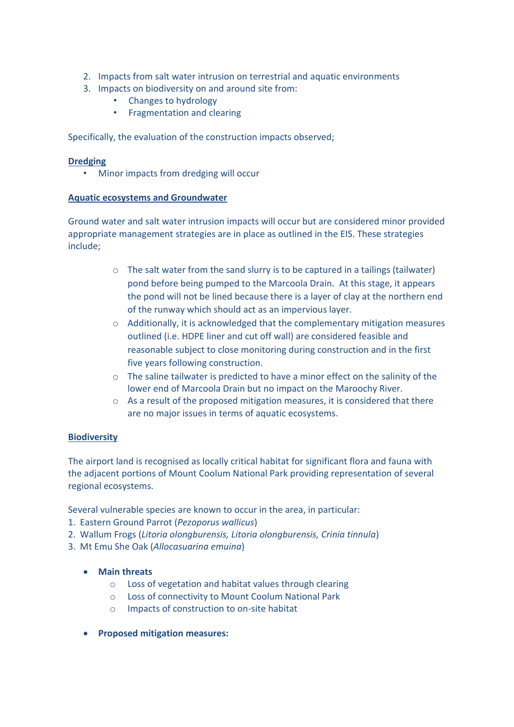- 2. Impacts from salt water intrusion on terrestrial and aquatic environments
- 3. Impacts on biodiversity on and around site from:
	- Changes to hydrology
	- Fragmentation and clearing

Specifically, the evaluation of the construction impacts observed;

#### **Dredging**

• Minor impacts from dredging will occur

#### **Aquatic ecosystems and Groundwater**

Ground water and salt water intrusion impacts will occur but are considered minor provided appropriate management strategies are in place as outlined in the EIS. These strategies include;

- $\circ$  The salt water from the sand slurry is to be captured in a tailings (tailwater) pond before being pumped to the Marcoola Drain. At this stage, it appears the pond will not be lined because there is a layer of clay at the northern end of the runway which should act as an impervious layer.
- $\circ$  Additionally, it is acknowledged that the complementary mitigation measures outlined (i.e. HDPE liner and cut off wall) are considered feasible and reasonable subject to close monitoring during construction and in the first five years following construction.
- $\circ$  The saline tailwater is predicted to have a minor effect on the salinity of the lower end of Marcoola Drain but no impact on the Maroochy River.
- o As a result of the proposed mitigation measures, it is considered that there are no major issues in terms of aquatic ecosystems.

## **Biodiversity**

The airport land is recognised as locally critical habitat for significant flora and fauna with the adjacent portions of Mount Coolum National Park providing representation of several regional ecosystems.

Several vulnerable species are known to occur in the area, in particular:

- 1. Eastern Ground Parrot (*Pezoporus wallicus*)
- 2. Wallum Frogs (*Litoria olongburensis, Litoria olongburensis, Crinia tinnula*)
- 3. Mt Emu She Oak (*Allocasuarina emuina*)
	- x **Main threats** 
		- o Loss of vegetation and habitat values through clearing
		- o Loss of connectivity to Mount Coolum National Park
		- o Impacts of construction to on-site habitat
	- x **Proposed mitigation measures:**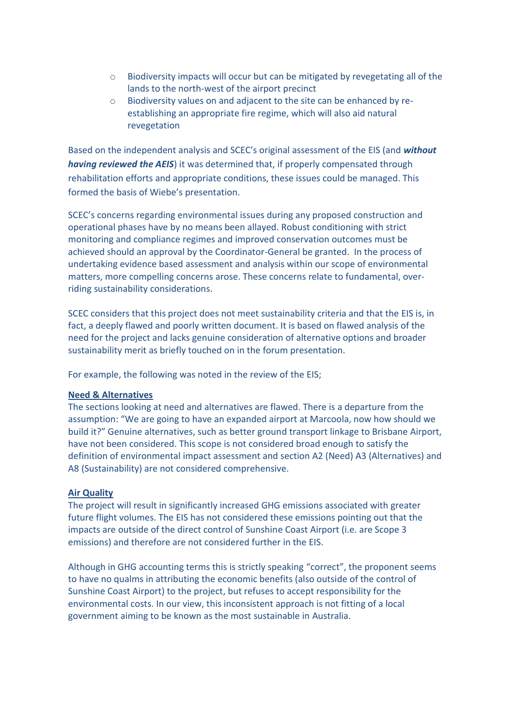- o Biodiversity impacts will occur but can be mitigated by revegetating all of the lands to the north-west of the airport precinct
- o Biodiversity values on and adjacent to the site can be enhanced by reestablishing an appropriate fire regime, which will also aid natural revegetation

Based on the independent analysis and SCEC's original assessment of the EIS (and *without having reviewed the AEIS*) it was determined that, if properly compensated through rehabilitation efforts and appropriate conditions, these issues could be managed. This formed the basis of Wiebe's presentation.

SCEC's concerns regarding environmental issues during any proposed construction and operational phases have by no means been allayed. Robust conditioning with strict monitoring and compliance regimes and improved conservation outcomes must be achieved should an approval by the Coordinator-General be granted. In the process of undertaking evidence based assessment and analysis within our scope of environmental matters, more compelling concerns arose. These concerns relate to fundamental, overriding sustainability considerations.

SCEC considers that this project does not meet sustainability criteria and that the EIS is, in fact, a deeply flawed and poorly written document. It is based on flawed analysis of the need for the project and lacks genuine consideration of alternative options and broader sustainability merit as briefly touched on in the forum presentation.

For example, the following was noted in the review of the EIS;

## **Need & Alternatives**

The sections looking at need and alternatives are flawed. There is a departure from the assumption: "We are going to have an expanded airport at Marcoola, now how should we build it?" Genuine alternatives, such as better ground transport linkage to Brisbane Airport, have not been considered. This scope is not considered broad enough to satisfy the definition of environmental impact assessment and section A2 (Need) A3 (Alternatives) and A8 (Sustainability) are not considered comprehensive.

## **Air Quality**

The project will result in significantly increased GHG emissions associated with greater future flight volumes. The EIS has not considered these emissions pointing out that the impacts are outside of the direct control of Sunshine Coast Airport (i.e. are Scope 3 emissions) and therefore are not considered further in the EIS.

Although in GHG accounting terms this is strictly speaking "correct", the proponent seems to have no qualms in attributing the economic benefits (also outside of the control of Sunshine Coast Airport) to the project, but refuses to accept responsibility for the environmental costs. In our view, this inconsistent approach is not fitting of a local government aiming to be known as the most sustainable in Australia.